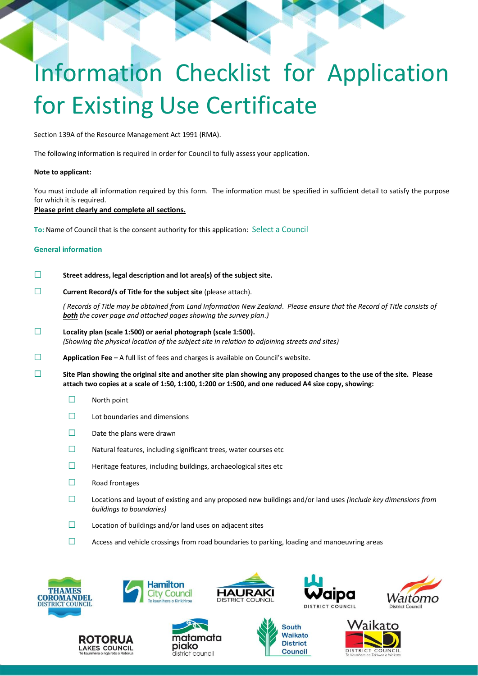# Information Checklist for Application for Existing Use Certificate

Section 139A of the Resource Management Act 1991 (RMA).

The following information is required in order for Council to fully assess your application.

## **Note to applicant:**

You must include all information required by this form. The information must be specified in sufficient detail to satisfy the purpose for which it is required.

## **Please print clearly and complete all sections.**

**To:** Name of Council that is the consent authority for this application: Select a Council

## **General information**

## ☐ **Street address, legal description and lot area(s) of the subject site.**

☐ **Current Record/s of Title for the subject site** (please attach).

*( Records of Title may be obtained from Land Information New Zealand. Please ensure that the Record of Title consists of both the cover page and attached pages showing the survey plan.)*

- ☐ **Locality plan (scale 1:500) or aerial photograph (scale 1:500).** *(Showing the physical location of the subject site in relation to adjoining streets and sites)*
- ☐ **Application Fee –** A full list of fees and charges is available on Council's website.
- ☐ **Site Plan showing the original site and another site plan showing any proposed changes to the use of the site. Please attach two copies at a scale of 1:50, 1:100, 1:200 or 1:500, and one reduced A4 size copy, showing:**
	- ☐ North point
	- $\Box$  Lot boundaries and dimensions
	- ☐ Date the plans were drawn
	- ☐ Natural features, including significant trees, water courses etc
	- $\Box$  Heritage features, including buildings, archaeological sites etc
	- ☐ Road frontages
	- ☐ Locations and layout of existing and any proposed new buildings and/or land uses *(include key dimensions from buildings to boundaries)*
	- $\Box$  Location of buildings and/or land uses on adjacent sites
	- $\Box$  Access and vehicle crossings from road boundaries to parking, loading and manoeuvring areas

















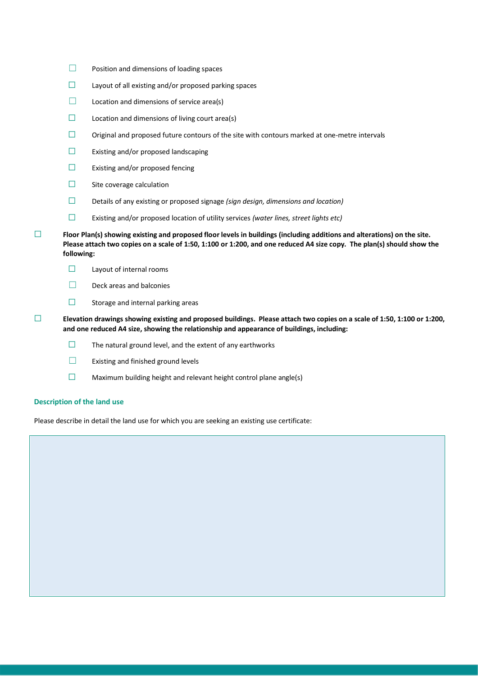- ☐ Position and dimensions of loading spaces
- $\Box$  Layout of all existing and/or proposed parking spaces
- $\Box$  Location and dimensions of service area(s)
- $\Box$  Location and dimensions of living court area(s)
- $\Box$  Original and proposed future contours of the site with contours marked at one-metre intervals
- ☐ Existing and/or proposed landscaping
- ☐ Existing and/or proposed fencing
- ☐ Site coverage calculation
- ☐ Details of any existing or proposed signage *(sign design, dimensions and location)*
- ☐ Existing and/or proposed location of utility services *(water lines, street lights etc)*
- ☐ **Floor Plan(s) showing existing and proposed floor levels in buildings (including additions and alterations) on the site. Please attach two copies on a scale of 1:50, 1:100 or 1:200, and one reduced A4 size copy. The plan(s) should show the following:**
	- ☐ Layout of internal rooms
	- □ Deck areas and balconies
	- $\Box$  Storage and internal parking areas
- ☐ **Elevation drawings showing existing and proposed buildings. Please attach two copies on a scale of 1:50, 1:100 or 1:200, and one reduced A4 size, showing the relationship and appearance of buildings, including:**
	- $\Box$  The natural ground level, and the extent of any earthworks
	- ☐ Existing and finished ground levels
	- $\Box$  Maximum building height and relevant height control plane angle(s)

# **Description of the land use**

Please describe in detail the land use for which you are seeking an existing use certificate: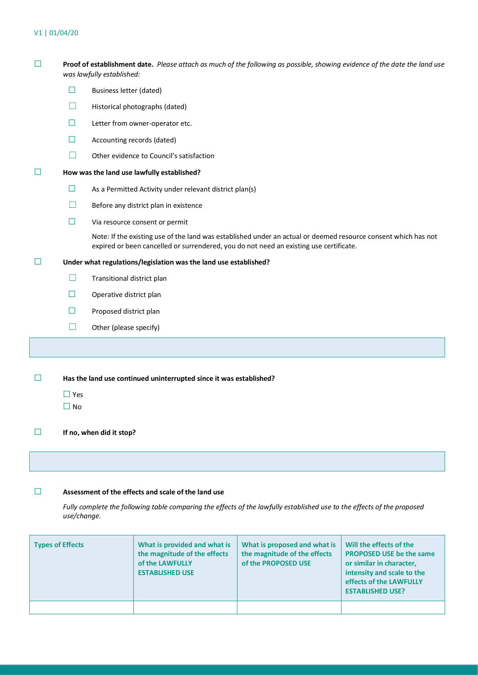# V1 | 01/04/20

| $\Box$                                                                                | Proof of establishment date. Please attach as much of the following as possible, showing evidence of the date the land use<br>was lawfully established: |                                                                                                                                                                                                          |  |  |  |  |
|---------------------------------------------------------------------------------------|---------------------------------------------------------------------------------------------------------------------------------------------------------|----------------------------------------------------------------------------------------------------------------------------------------------------------------------------------------------------------|--|--|--|--|
|                                                                                       | ш                                                                                                                                                       | <b>Business letter (dated)</b>                                                                                                                                                                           |  |  |  |  |
|                                                                                       | H                                                                                                                                                       | Historical photographs (dated)                                                                                                                                                                           |  |  |  |  |
|                                                                                       | ⊔                                                                                                                                                       | Letter from owner-operator etc.                                                                                                                                                                          |  |  |  |  |
|                                                                                       | Ш                                                                                                                                                       | Accounting records (dated)                                                                                                                                                                               |  |  |  |  |
|                                                                                       |                                                                                                                                                         | Other evidence to Council's satisfaction                                                                                                                                                                 |  |  |  |  |
| H                                                                                     | How was the land use lawfully established?                                                                                                              |                                                                                                                                                                                                          |  |  |  |  |
|                                                                                       | $\Box$                                                                                                                                                  | As a Permitted Activity under relevant district plan(s)                                                                                                                                                  |  |  |  |  |
|                                                                                       |                                                                                                                                                         | Before any district plan in existence                                                                                                                                                                    |  |  |  |  |
|                                                                                       | Ш                                                                                                                                                       | Via resource consent or permit                                                                                                                                                                           |  |  |  |  |
|                                                                                       |                                                                                                                                                         | Note: If the existing use of the land was established under an actual or deemed resource consent which has not<br>expired or been cancelled or surrendered, you do not need an existing use certificate. |  |  |  |  |
| Ш                                                                                     | Under what regulations/legislation was the land use established?                                                                                        |                                                                                                                                                                                                          |  |  |  |  |
|                                                                                       | H                                                                                                                                                       | Transitional district plan                                                                                                                                                                               |  |  |  |  |
|                                                                                       | □                                                                                                                                                       | Operative district plan                                                                                                                                                                                  |  |  |  |  |
|                                                                                       | Ш                                                                                                                                                       | Proposed district plan                                                                                                                                                                                   |  |  |  |  |
|                                                                                       |                                                                                                                                                         | Other (please specify)                                                                                                                                                                                   |  |  |  |  |
|                                                                                       |                                                                                                                                                         |                                                                                                                                                                                                          |  |  |  |  |
| Has the land use continued uninterrupted since it was established?<br>ப<br>$\Box$ Yes |                                                                                                                                                         |                                                                                                                                                                                                          |  |  |  |  |
|                                                                                       | $\square$ No                                                                                                                                            |                                                                                                                                                                                                          |  |  |  |  |
| $\Box$                                                                                | If no, when did it stop?                                                                                                                                |                                                                                                                                                                                                          |  |  |  |  |
|                                                                                       |                                                                                                                                                         |                                                                                                                                                                                                          |  |  |  |  |
| $\Box$                                                                                | Assessment of the effects and scale of the land use                                                                                                     |                                                                                                                                                                                                          |  |  |  |  |

*Fully complete the following table comparing the effects of the lawfully established use to the effects of the proposed use/change.*

| Types of Effects | What is provided and what is<br>the magnitude of the effects<br>of the LAWFULLY<br><b>ESTABLISHED USE</b> | What is proposed and what is<br>the magnitude of the effects<br>of the PROPOSED USE | Will the effects of the<br><b>PROPOSED USE be the same</b><br>or similar in character,<br>intensity and scale to the<br>effects of the LAWFULLY<br><b>ESTABLISHED USE?</b> |
|------------------|-----------------------------------------------------------------------------------------------------------|-------------------------------------------------------------------------------------|----------------------------------------------------------------------------------------------------------------------------------------------------------------------------|
|                  |                                                                                                           |                                                                                     |                                                                                                                                                                            |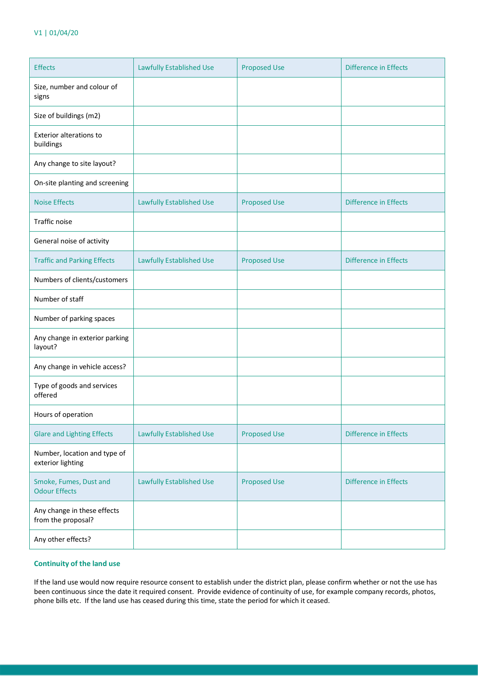| <b>Effects</b>                                    | <b>Lawfully Established Use</b> | <b>Proposed Use</b> | Difference in Effects |
|---------------------------------------------------|---------------------------------|---------------------|-----------------------|
| Size, number and colour of<br>signs               |                                 |                     |                       |
| Size of buildings (m2)                            |                                 |                     |                       |
| <b>Exterior alterations to</b><br>buildings       |                                 |                     |                       |
| Any change to site layout?                        |                                 |                     |                       |
| On-site planting and screening                    |                                 |                     |                       |
| <b>Noise Effects</b>                              | <b>Lawfully Established Use</b> | <b>Proposed Use</b> | Difference in Effects |
| Traffic noise                                     |                                 |                     |                       |
| General noise of activity                         |                                 |                     |                       |
| <b>Traffic and Parking Effects</b>                | <b>Lawfully Established Use</b> | <b>Proposed Use</b> | Difference in Effects |
| Numbers of clients/customers                      |                                 |                     |                       |
| Number of staff                                   |                                 |                     |                       |
| Number of parking spaces                          |                                 |                     |                       |
| Any change in exterior parking<br>layout?         |                                 |                     |                       |
| Any change in vehicle access?                     |                                 |                     |                       |
| Type of goods and services<br>offered             |                                 |                     |                       |
| Hours of operation                                |                                 |                     |                       |
| <b>Glare and Lighting Effects</b>                 | <b>Lawfully Established Use</b> | <b>Proposed Use</b> | Difference in Effects |
| Number, location and type of<br>exterior lighting |                                 |                     |                       |
| Smoke, Fumes, Dust and<br><b>Odour Effects</b>    | <b>Lawfully Established Use</b> | <b>Proposed Use</b> | Difference in Effects |
| Any change in these effects<br>from the proposal? |                                 |                     |                       |
| Any other effects?                                |                                 |                     |                       |

# **Continuity of the land use**

If the land use would now require resource consent to establish under the district plan, please confirm whether or not the use has been continuous since the date it required consent. Provide evidence of continuity of use, for example company records, photos, phone bills etc. If the land use has ceased during this time, state the period for which it ceased.